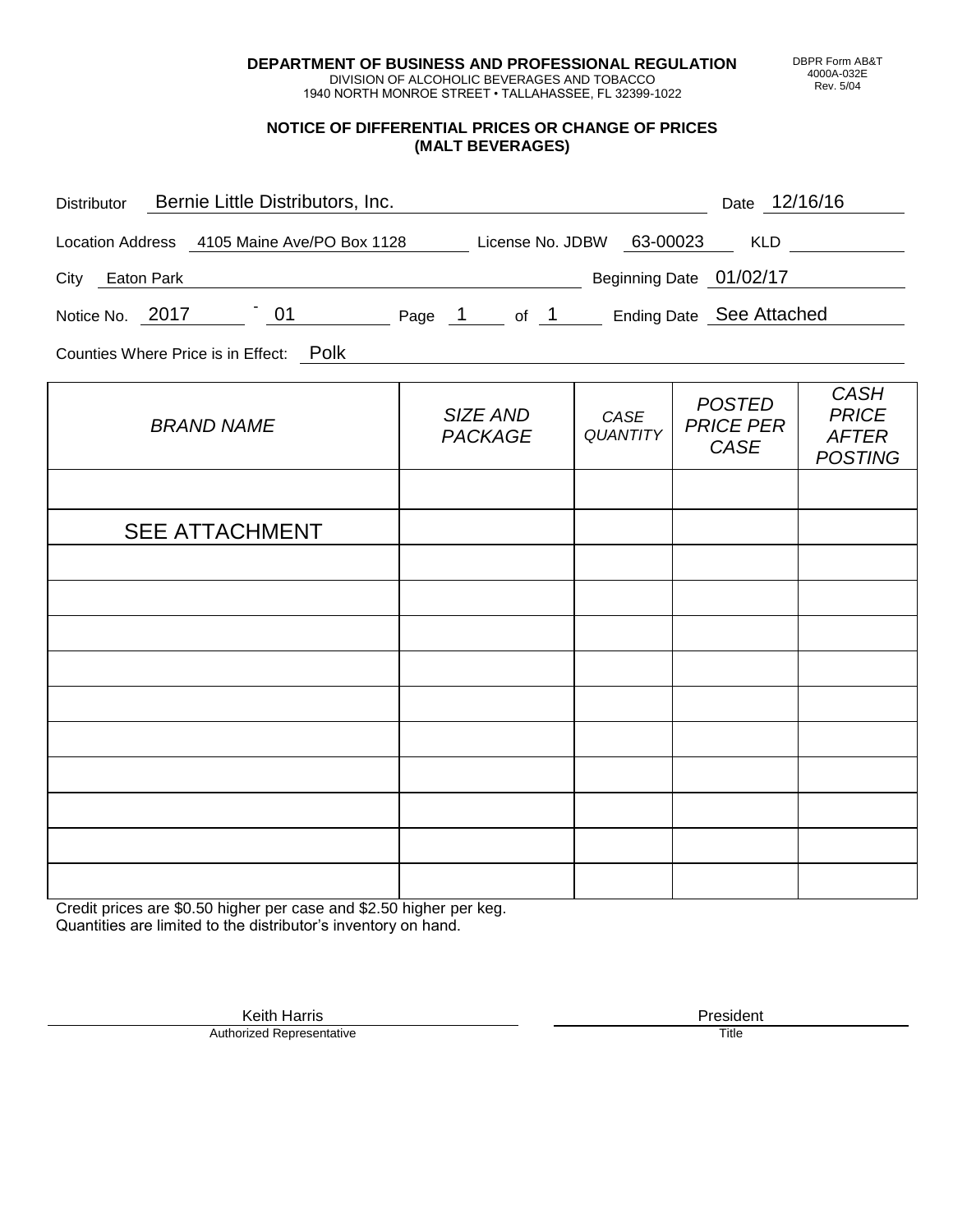**DEPARTMENT OF BUSINESS AND PROFESSIONAL REGULATION** DIVISION OF ALCOHOLIC BEVERAGES AND TOBACCO

1940 NORTH MONROE STREET • TALLAHASSEE, FL 32399-1022

## **NOTICE OF DIFFERENTIAL PRICES OR CHANGE OF PRICES (MALT BEVERAGES)**

| Distributor Bernie Little Distributors, Inc.                              |                            |                         | Date 12/16/16                             |                                                               |
|---------------------------------------------------------------------------|----------------------------|-------------------------|-------------------------------------------|---------------------------------------------------------------|
| Location Address 4105 Maine Ave/PO Box 1128 License No. JDBW 63-00023 KLD |                            |                         |                                           |                                                               |
| City Eaton Park                                                           | Beginning Date 01/02/17    |                         |                                           |                                                               |
| Notice No. 2017 101 Page 1 of 1 Ending Date See Attached                  |                            |                         |                                           |                                                               |
| Counties Where Price is in Effect: Polk                                   |                            |                         |                                           |                                                               |
| <b>BRAND NAME</b>                                                         | SIZE AND<br><b>PACKAGE</b> | CASE<br><b>QUANTITY</b> | <b>POSTED</b><br><b>PRICE PER</b><br>CASE | <b>CASH</b><br><b>PRICE</b><br><b>AFTER</b><br><b>POSTING</b> |
|                                                                           |                            |                         |                                           |                                                               |
| <b>SEE ATTACHMENT</b>                                                     |                            |                         |                                           |                                                               |
|                                                                           |                            |                         |                                           |                                                               |
|                                                                           |                            |                         |                                           |                                                               |
|                                                                           |                            |                         |                                           |                                                               |
|                                                                           |                            |                         |                                           |                                                               |
|                                                                           |                            |                         |                                           |                                                               |
|                                                                           |                            |                         |                                           |                                                               |
|                                                                           |                            |                         |                                           |                                                               |
|                                                                           |                            |                         |                                           |                                                               |
|                                                                           |                            |                         |                                           |                                                               |

Credit prices are \$0.50 higher per case and \$2.50 higher per keg. Quantities are limited to the distributor's inventory on hand.

> Keith Harris **President** President **President** President **President** President **President** Authorized Representative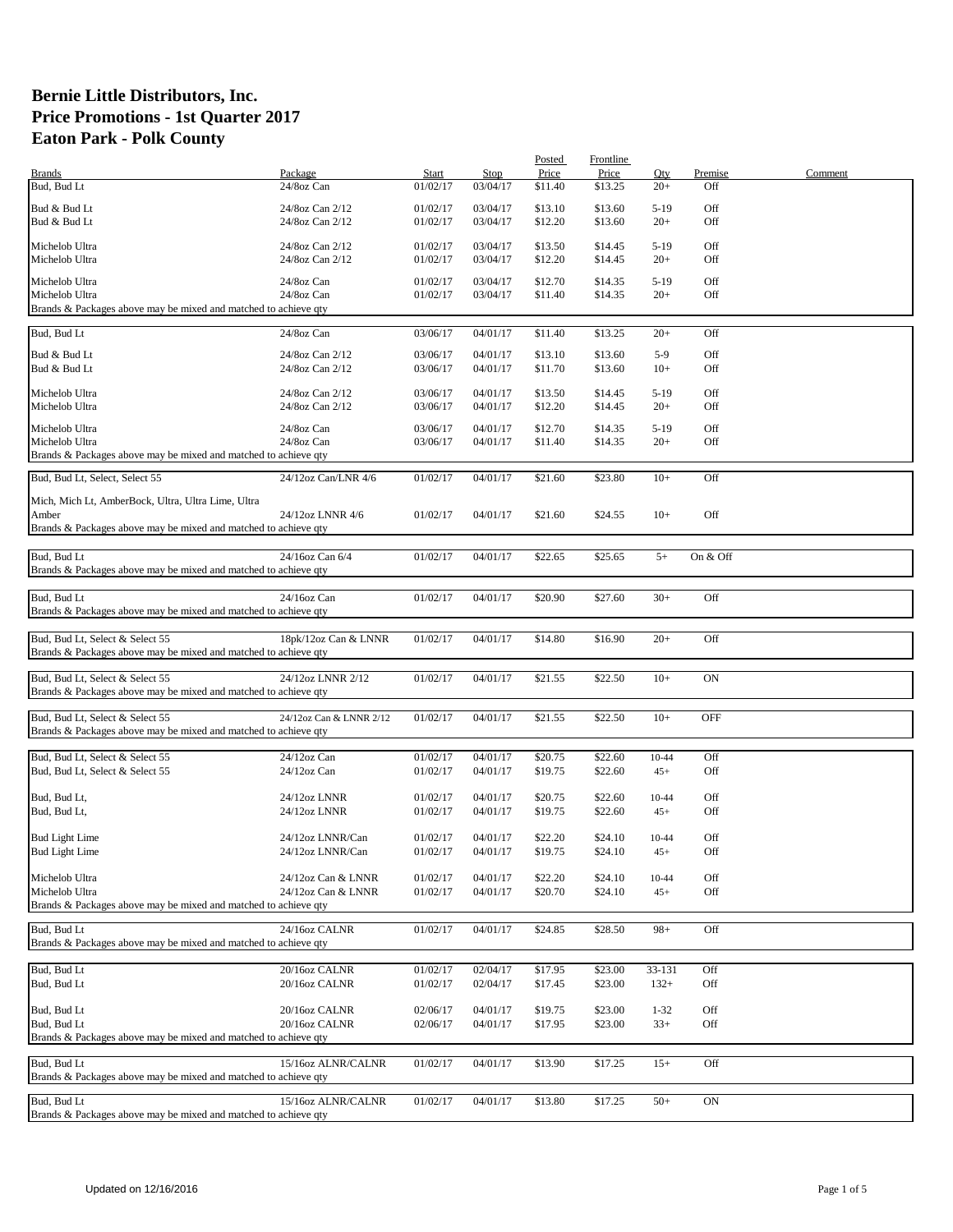|                                                                 |                         |              |             | Posted  | Frontline |           |            |         |
|-----------------------------------------------------------------|-------------------------|--------------|-------------|---------|-----------|-----------|------------|---------|
| <b>Brands</b>                                                   | Package                 | <b>Start</b> | <b>Stop</b> | Price   | Price     | Qty       | Premise    | Comment |
| Bud, Bud Lt                                                     | 24/8oz Can              | 01/02/17     | 03/04/17    | \$11.40 | \$13.25   | $20+$     | Off        |         |
|                                                                 |                         |              |             |         |           |           |            |         |
| Bud & Bud Lt                                                    | 24/8oz Can 2/12         | 01/02/17     | 03/04/17    | \$13.10 | \$13.60   | $5-19$    | Off        |         |
| Bud & Bud Lt                                                    | 24/8oz Can 2/12         | 01/02/17     | 03/04/17    | \$12.20 | \$13.60   | $20+$     | Off        |         |
|                                                                 |                         |              |             |         |           |           |            |         |
| Michelob Ultra                                                  | 24/8oz Can 2/12         | 01/02/17     | 03/04/17    | \$13.50 | \$14.45   | $5-19$    | Off        |         |
| Michelob Ultra                                                  | 24/8oz Can 2/12         | 01/02/17     | 03/04/17    | \$12.20 | \$14.45   | $20+$     | Off        |         |
|                                                                 |                         |              |             |         |           |           |            |         |
| Michelob Ultra                                                  | 24/8oz Can              | 01/02/17     | 03/04/17    | \$12.70 | \$14.35   | $5-19$    | Off        |         |
| Michelob Ultra                                                  | 24/8oz Can              | 01/02/17     | 03/04/17    | \$11.40 | \$14.35   | $20+$     | Off        |         |
| Brands & Packages above may be mixed and matched to achieve qty |                         |              |             |         |           |           |            |         |
|                                                                 |                         |              |             |         |           |           |            |         |
| Bud, Bud Lt                                                     | 24/8oz Can              | 03/06/17     | 04/01/17    | \$11.40 | \$13.25   | $20+$     | Off        |         |
|                                                                 |                         |              |             |         |           |           |            |         |
| Bud & Bud Lt                                                    | 24/8oz Can 2/12         | 03/06/17     | 04/01/17    | \$13.10 | \$13.60   | $5-9$     | Off        |         |
| Bud & Bud Lt                                                    | 24/8oz Can 2/12         | 03/06/17     | 04/01/17    | \$11.70 | \$13.60   | $10+$     | Off        |         |
|                                                                 |                         |              |             |         |           |           |            |         |
| Michelob Ultra                                                  | 24/8oz Can 2/12         | 03/06/17     | 04/01/17    | \$13.50 | \$14.45   | $5-19$    | Off        |         |
| Michelob Ultra                                                  | 24/8oz Can 2/12         | 03/06/17     | 04/01/17    | \$12.20 | \$14.45   | $20+$     | Off        |         |
| Michelob Ultra                                                  | 24/8oz Can              | 03/06/17     | 04/01/17    | \$12.70 | \$14.35   | $5-19$    | Off        |         |
|                                                                 |                         |              |             |         |           |           |            |         |
| Michelob Ultra                                                  | 24/8oz Can              | 03/06/17     | 04/01/17    | \$11.40 | \$14.35   | $20+$     | Off        |         |
| Brands & Packages above may be mixed and matched to achieve qty |                         |              |             |         |           |           |            |         |
| Bud, Bud Lt, Select, Select 55                                  | 24/12oz Can/LNR 4/6     | 01/02/17     | 04/01/17    | \$21.60 | \$23.80   | $10+$     | Off        |         |
|                                                                 |                         |              |             |         |           |           |            |         |
| Mich, Mich Lt, AmberBock, Ultra, Ultra Lime, Ultra              |                         |              |             |         |           |           |            |         |
| Amber                                                           | 24/12oz LNNR 4/6        | 01/02/17     | 04/01/17    | \$21.60 | \$24.55   | $10+$     | Off        |         |
|                                                                 |                         |              |             |         |           |           |            |         |
| Brands & Packages above may be mixed and matched to achieve qty |                         |              |             |         |           |           |            |         |
|                                                                 |                         |              |             |         |           |           |            |         |
| Bud, Bud Lt                                                     | 24/16oz Can 6/4         | 01/02/17     | 04/01/17    | \$22.65 | \$25.65   | $5+$      | On & Off   |         |
| Brands & Packages above may be mixed and matched to achieve qty |                         |              |             |         |           |           |            |         |
|                                                                 |                         |              |             |         |           |           |            |         |
| Bud, Bud Lt                                                     | 24/16oz Can             | 01/02/17     | 04/01/17    | \$20.90 | \$27.60   | $30+$     | Off        |         |
| Brands & Packages above may be mixed and matched to achieve qty |                         |              |             |         |           |           |            |         |
|                                                                 |                         |              |             |         |           |           |            |         |
| Bud, Bud Lt, Select & Select 55                                 | 18pk/12oz Can & LNNR    | 01/02/17     | 04/01/17    | \$14.80 | \$16.90   | $20+$     | Off        |         |
| Brands & Packages above may be mixed and matched to achieve qty |                         |              |             |         |           |           |            |         |
|                                                                 |                         |              |             |         |           |           |            |         |
| Bud, Bud Lt, Select & Select 55                                 | 24/12oz LNNR 2/12       | 01/02/17     | 04/01/17    | \$21.55 | \$22.50   | $10+$     | ON         |         |
| Brands & Packages above may be mixed and matched to achieve qty |                         |              |             |         |           |           |            |         |
|                                                                 |                         |              |             |         |           |           |            |         |
| Bud, Bud Lt, Select & Select 55                                 | 24/12oz Can & LNNR 2/12 | 01/02/17     | 04/01/17    |         | \$22.50   | $10+$     | <b>OFF</b> |         |
|                                                                 |                         |              |             | \$21.55 |           |           |            |         |
| Brands & Packages above may be mixed and matched to achieve qty |                         |              |             |         |           |           |            |         |
|                                                                 |                         |              |             |         |           |           |            |         |
| Bud, Bud Lt, Select & Select 55                                 | 24/12oz Can             | 01/02/17     | 04/01/17    | \$20.75 | \$22.60   | 10-44     | Off        |         |
| Bud, Bud Lt, Select & Select 55                                 | $24/12$ oz Can          | 01/02/17     | 04/01/17    | \$19.75 | \$22.60   | $45+$     | Off        |         |
|                                                                 |                         |              |             |         |           |           |            |         |
| Bud, Bud Lt,                                                    | 24/12oz LNNR            | 01/02/17     | 04/01/17    | \$20.75 | \$22.60   | 10-44     | Off        |         |
| Bud, Bud Lt,                                                    | 24/12oz LNNR            | 01/02/17     | 04/01/17    | \$19.75 | \$22.60   | $45+$     | Off        |         |
|                                                                 |                         |              |             |         |           |           |            |         |
| <b>Bud Light Lime</b>                                           | 24/12oz LNNR/Can        | 01/02/17     | 04/01/17    | \$22.20 | \$24.10   | $10 - 44$ | Off        |         |
| <b>Bud Light Lime</b>                                           | 24/12oz LNNR/Can        | 01/02/17     | 04/01/17    | \$19.75 | \$24.10   | $45+$     | Off        |         |
|                                                                 |                         |              |             |         |           |           |            |         |
| Michelob Ultra                                                  | 24/12oz Can & LNNR      | 01/02/17     | 04/01/17    | \$22.20 | \$24.10   | 10-44     | Off        |         |
| Michelob Ultra                                                  | 24/12oz Can & LNNR      | 01/02/17     | 04/01/17    | \$20.70 | \$24.10   |           | Off        |         |
|                                                                 |                         |              |             |         |           | $45+$     |            |         |
| Brands & Packages above may be mixed and matched to achieve qty |                         |              |             |         |           |           |            |         |
| Bud. Bud Lt                                                     | 24/16oz CALNR           |              |             |         |           |           |            |         |
|                                                                 |                         | 01/02/17     | 04/01/17    | \$24.85 | \$28.50   | $98+$     | Off        |         |
| Brands & Packages above may be mixed and matched to achieve qty |                         |              |             |         |           |           |            |         |
|                                                                 |                         |              |             |         |           |           |            |         |
| Bud, Bud Lt                                                     | 20/16oz CALNR           | 01/02/17     | 02/04/17    | \$17.95 | \$23.00   | 33-131    | Off        |         |
| Bud, Bud Lt                                                     | 20/16oz CALNR           | 01/02/17     | 02/04/17    | \$17.45 | \$23.00   | $132+$    | Off        |         |
|                                                                 |                         |              |             |         |           |           |            |         |
| Bud, Bud Lt                                                     | 20/16oz CALNR           | 02/06/17     | 04/01/17    | \$19.75 | \$23.00   | $1 - 32$  | Off        |         |
| Bud, Bud Lt                                                     | 20/16oz CALNR           | 02/06/17     | 04/01/17    | \$17.95 | \$23.00   | $33+$     | Off        |         |
| Brands & Packages above may be mixed and matched to achieve qty |                         |              |             |         |           |           |            |         |
|                                                                 |                         |              |             |         |           |           |            |         |
| Bud, Bud Lt                                                     | 15/16oz ALNR/CALNR      | 01/02/17     | 04/01/17    | \$13.90 | \$17.25   | $15+$     | Off        |         |
| Brands & Packages above may be mixed and matched to achieve qty |                         |              |             |         |           |           |            |         |
|                                                                 |                         |              |             |         |           |           |            |         |
| Bud, Bud Lt                                                     | 15/16oz ALNR/CALNR      | 01/02/17     | 04/01/17    | \$13.80 | \$17.25   | $50+$     | ON         |         |
| Brands & Packages above may be mixed and matched to achieve qty |                         |              |             |         |           |           |            |         |
|                                                                 |                         |              |             |         |           |           |            |         |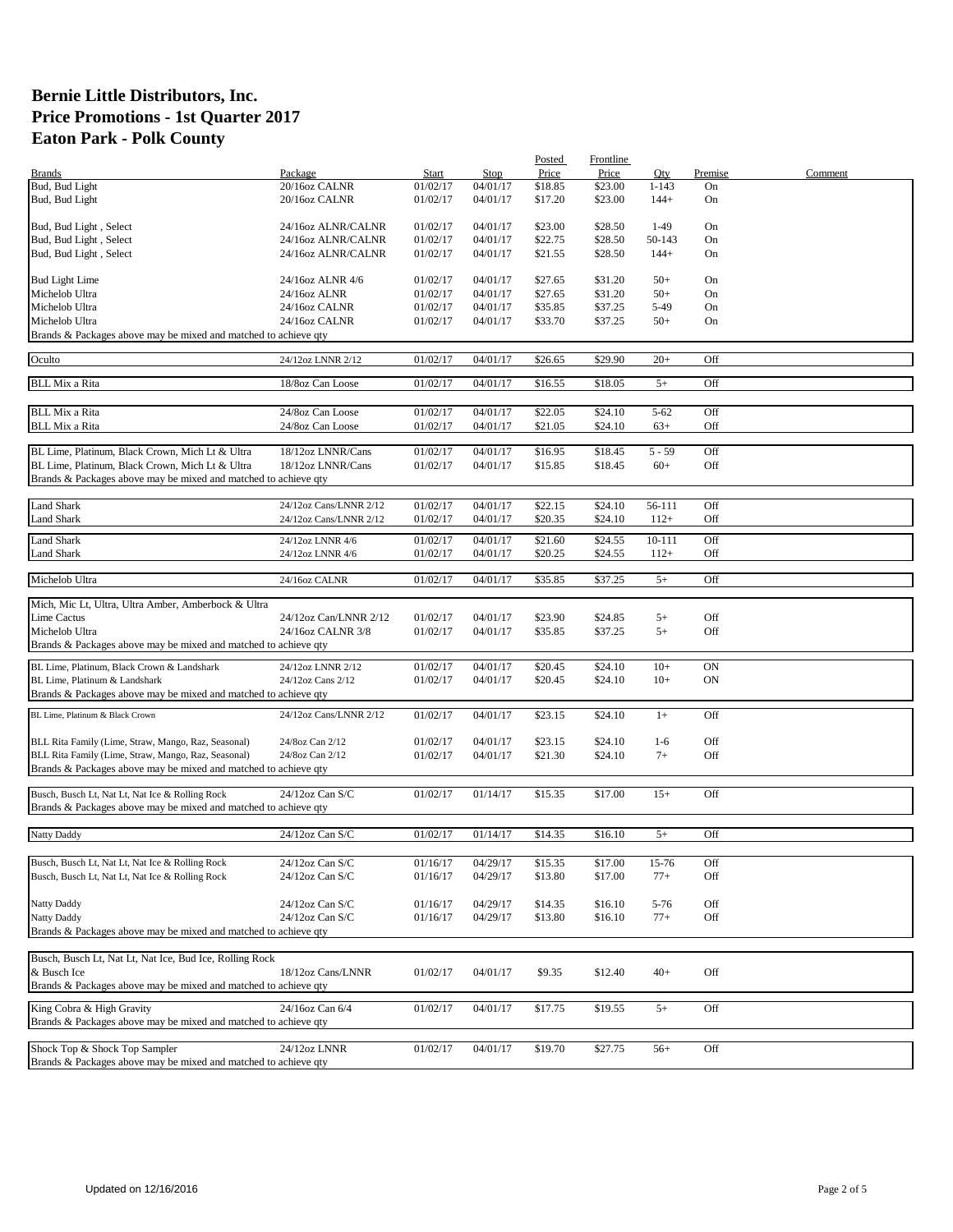|                                                                 |                        |          |          | Posted  | Frontline |           |         |         |
|-----------------------------------------------------------------|------------------------|----------|----------|---------|-----------|-----------|---------|---------|
| <b>Brands</b>                                                   | Package                | Start    | Stop     | Price   | Price     | Qty       | Premise | Comment |
| Bud, Bud Light                                                  | 20/16oz CALNR          | 01/02/17 | 04/01/17 | \$18.85 | \$23.00   | $1 - 143$ | On      |         |
| Bud, Bud Light                                                  | 20/16oz CALNR          | 01/02/17 | 04/01/17 | \$17.20 | \$23.00   | $144+$    | On      |         |
|                                                                 |                        |          |          |         |           |           |         |         |
| Bud, Bud Light, Select                                          | 24/16oz ALNR/CALNR     | 01/02/17 | 04/01/17 | \$23.00 | \$28.50   | $1-49$    | On      |         |
| Bud, Bud Light, Select                                          | 24/16oz ALNR/CALNR     | 01/02/17 | 04/01/17 | \$22.75 | \$28.50   | 50-143    | On      |         |
| Bud, Bud Light, Select                                          | 24/16oz ALNR/CALNR     | 01/02/17 | 04/01/17 | \$21.55 | \$28.50   | $144+$    | On      |         |
|                                                                 |                        |          |          |         |           |           |         |         |
|                                                                 |                        |          |          |         |           |           |         |         |
| <b>Bud Light Lime</b>                                           | 24/16oz ALNR 4/6       | 01/02/17 | 04/01/17 | \$27.65 | \$31.20   | $50+$     | On      |         |
| Michelob Ultra                                                  | 24/16oz ALNR           | 01/02/17 | 04/01/17 | \$27.65 | \$31.20   | $50+$     | On      |         |
| Michelob Ultra                                                  | 24/16oz CALNR          | 01/02/17 | 04/01/17 | \$35.85 | \$37.25   | $5-49$    | On      |         |
| Michelob Ultra                                                  | 24/16oz CALNR          | 01/02/17 | 04/01/17 | \$33.70 | \$37.25   | $50+$     | On      |         |
| Brands & Packages above may be mixed and matched to achieve qty |                        |          |          |         |           |           |         |         |
|                                                                 |                        |          |          |         |           |           |         |         |
| Oculto                                                          | 24/12oz LNNR 2/12      | 01/02/17 | 04/01/17 | \$26.65 | \$29.90   | $20+$     | Off     |         |
|                                                                 |                        |          |          |         |           |           |         |         |
| <b>BLL Mix a Rita</b>                                           | 18/8oz Can Loose       | 01/02/17 | 04/01/17 | \$16.55 | \$18.05   | $5+$      | Off     |         |
|                                                                 |                        |          |          |         |           |           |         |         |
| <b>BLL Mix a Rita</b>                                           | 24/8oz Can Loose       | 01/02/17 | 04/01/17 | \$22.05 | \$24.10   | $5 - 62$  | Off     |         |
| <b>BLL Mix a Rita</b>                                           | 24/8oz Can Loose       | 01/02/17 | 04/01/17 | \$21.05 | \$24.10   | $63+$     | Off     |         |
|                                                                 |                        |          |          |         |           |           |         |         |
| BL Lime, Platinum, Black Crown, Mich Lt & Ultra                 | 18/12oz LNNR/Cans      | 01/02/17 | 04/01/17 | \$16.95 | \$18.45   | $5 - 59$  | Off     |         |
| BL Lime, Platinum, Black Crown, Mich Lt & Ultra                 | 18/12oz LNNR/Cans      | 01/02/17 | 04/01/17 | \$15.85 | \$18.45   | $60+$     | Off     |         |
|                                                                 |                        |          |          |         |           |           |         |         |
| Brands & Packages above may be mixed and matched to achieve qty |                        |          |          |         |           |           |         |         |
|                                                                 |                        |          |          |         |           |           |         |         |
| <b>Land Shark</b>                                               | 24/12oz Cans/LNNR 2/12 | 01/02/17 | 04/01/17 | \$22.15 | \$24.10   | 56-111    | Off     |         |
| Land Shark                                                      | 24/12oz Cans/LNNR 2/12 | 01/02/17 | 04/01/17 | \$20.35 | \$24.10   | $112+$    | Off     |         |
| <b>Land Shark</b>                                               | 24/12oz LNNR 4/6       | 01/02/17 | 04/01/17 | \$21.60 | \$24.55   | 10-111    | Off     |         |
|                                                                 | 24/12oz LNNR 4/6       | 01/02/17 |          |         |           |           |         |         |
| Land Shark                                                      |                        |          | 04/01/17 | \$20.25 | \$24.55   | $112+$    | Off     |         |
|                                                                 |                        |          |          |         |           |           |         |         |
| Michelob Ultra                                                  | 24/16oz CALNR          | 01/02/17 | 04/01/17 | \$35.85 | \$37.25   | $5+$      | Off     |         |
| Mich, Mic Lt, Ultra, Ultra Amber, Amberbock & Ultra             |                        |          |          |         |           |           |         |         |
|                                                                 |                        |          |          |         |           |           |         |         |
| Lime Cactus                                                     | 24/12oz Can/LNNR 2/12  | 01/02/17 | 04/01/17 | \$23.90 | \$24.85   | $5+$      | Off     |         |
| Michelob Ultra                                                  | 24/16oz CALNR 3/8      | 01/02/17 | 04/01/17 | \$35.85 | \$37.25   | $5+$      | Off     |         |
| Brands & Packages above may be mixed and matched to achieve qty |                        |          |          |         |           |           |         |         |
| BL Lime, Platinum, Black Crown & Landshark                      | 24/12oz LNNR 2/12      | 01/02/17 |          |         | \$24.10   | $10+$     | ON      |         |
|                                                                 |                        |          | 04/01/17 | \$20.45 |           |           |         |         |
| BL Lime, Platinum & Landshark                                   | 24/12oz Cans 2/12      | 01/02/17 | 04/01/17 | \$20.45 | \$24.10   | $10+$     | ON      |         |
| Brands & Packages above may be mixed and matched to achieve qty |                        |          |          |         |           |           |         |         |
| BL Lime, Platinum & Black Crown                                 | 24/12oz Cans/LNNR 2/12 | 01/02/17 | 04/01/17 | \$23.15 | \$24.10   | $1+$      | Off     |         |
|                                                                 |                        |          |          |         |           |           |         |         |
|                                                                 |                        |          |          |         |           |           |         |         |
| BLL Rita Family (Lime, Straw, Mango, Raz, Seasonal)             | 24/8oz Can 2/12        | 01/02/17 | 04/01/17 | \$23.15 | \$24.10   | $1-6$     | Off     |         |
| BLL Rita Family (Lime, Straw, Mango, Raz, Seasonal)             | 24/8oz Can 2/12        | 01/02/17 | 04/01/17 | \$21.30 | \$24.10   | $7+$      | Off     |         |
| Brands & Packages above may be mixed and matched to achieve qty |                        |          |          |         |           |           |         |         |
|                                                                 |                        |          |          |         |           |           |         |         |
| Busch, Busch Lt, Nat Lt, Nat Ice & Rolling Rock                 | 24/12oz Can S/C        | 01/02/17 | 01/14/17 | \$15.35 | \$17.00   | $15+$     | Off     |         |
| Brands & Packages above may be mixed and matched to achieve qty |                        |          |          |         |           |           |         |         |
|                                                                 |                        |          |          |         |           |           |         |         |
| Natty Daddy                                                     | 24/12oz Can S/C        | 01/02/17 | 01/14/17 | \$14.35 | \$16.10   | $5+$      | Off     |         |
|                                                                 |                        |          |          |         |           |           |         |         |
| Busch, Busch Lt, Nat Lt, Nat Ice & Rolling Rock                 | 24/12oz Can S/C        | 01/16/17 | 04/29/17 | \$15.35 | \$17.00   | 15-76     | Off     |         |
| Busch, Busch Lt, Nat Lt, Nat Ice & Rolling Rock                 | 24/12oz Can S/C        | 01/16/17 | 04/29/17 | \$13.80 | \$17.00   | $77+$     | Off     |         |
|                                                                 |                        |          |          |         |           |           |         |         |
|                                                                 |                        |          |          |         |           |           |         |         |
| Natty Daddy                                                     | 24/12oz Can S/C        | 01/16/17 | 04/29/17 | \$14.35 | \$16.10   | $5 - 76$  | Off     |         |
| Natty Daddy                                                     | 24/12oz Can S/C        | 01/16/17 | 04/29/17 | \$13.80 | \$16.10   | $77+$     | Off     |         |
| Brands & Packages above may be mixed and matched to achieve qty |                        |          |          |         |           |           |         |         |
|                                                                 |                        |          |          |         |           |           |         |         |
| Busch, Busch Lt, Nat Lt, Nat Ice, Bud Ice, Rolling Rock         |                        |          |          |         |           |           |         |         |
| & Busch Ice                                                     | 18/12oz Cans/LNNR      | 01/02/17 | 04/01/17 | \$9.35  | \$12.40   | $40+$     | Off     |         |
| Brands & Packages above may be mixed and matched to achieve qty |                        |          |          |         |           |           |         |         |
|                                                                 |                        |          |          |         |           |           |         |         |
| King Cobra & High Gravity                                       | 24/16oz Can 6/4        | 01/02/17 | 04/01/17 | \$17.75 | \$19.55   | $5+$      | Off     |         |
| Brands & Packages above may be mixed and matched to achieve qty |                        |          |          |         |           |           |         |         |
|                                                                 |                        |          |          |         |           |           |         |         |
| Shock Top & Shock Top Sampler                                   | 24/12oz LNNR           | 01/02/17 | 04/01/17 | \$19.70 | \$27.75   | $56+$     | Off     |         |
| Brands & Packages above may be mixed and matched to achieve qty |                        |          |          |         |           |           |         |         |
|                                                                 |                        |          |          |         |           |           |         |         |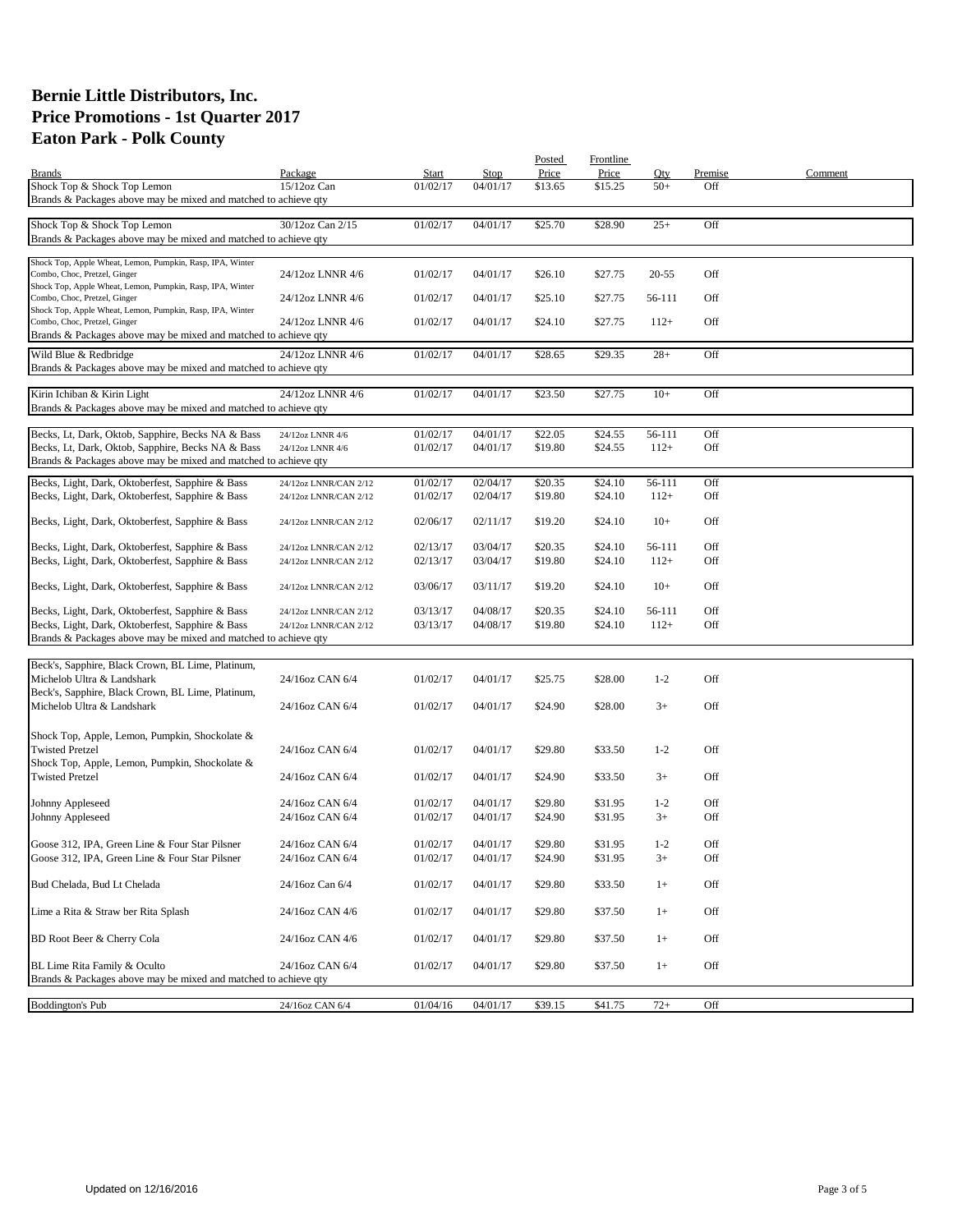|                                                                                                                      |                                    |                      |                         | Posted             | Frontline          |                  |                |         |
|----------------------------------------------------------------------------------------------------------------------|------------------------------------|----------------------|-------------------------|--------------------|--------------------|------------------|----------------|---------|
| <b>Brands</b><br>Shock Top & Shock Top Lemon                                                                         | Package<br>$15/12$ oz Can          | Start<br>01/02/17    | <b>Stop</b><br>04/01/17 | Price<br>\$13.65   | Price<br>\$15.25   | Qty<br>$50+$     | Premise<br>Off | Comment |
| Brands & Packages above may be mixed and matched to achieve qty                                                      |                                    |                      |                         |                    |                    |                  |                |         |
|                                                                                                                      |                                    |                      |                         |                    |                    |                  |                |         |
| Shock Top & Shock Top Lemon<br>Brands & Packages above may be mixed and matched to achieve qty                       | 30/12oz Can 2/15                   | 01/02/17             | 04/01/17                | \$25.70            | \$28.90            | $25+$            | Off            |         |
|                                                                                                                      |                                    |                      |                         |                    |                    |                  |                |         |
| Shock Top, Apple Wheat, Lemon, Pumpkin, Rasp, IPA, Winter                                                            |                                    |                      |                         |                    |                    |                  |                |         |
| Combo, Choc, Pretzel, Ginger<br>Shock Top, Apple Wheat, Lemon, Pumpkin, Rasp, IPA, Winter                            | 24/12oz LNNR 4/6                   | 01/02/17             | 04/01/17                | \$26.10            | \$27.75            | $20 - 55$        | Off            |         |
| Combo, Choc, Pretzel, Ginger                                                                                         | 24/12oz LNNR 4/6                   | 01/02/17             | 04/01/17                | \$25.10            | \$27.75            | 56-111           | Off            |         |
| Shock Top, Apple Wheat, Lemon, Pumpkin, Rasp, IPA, Winter<br>Combo, Choc, Pretzel, Ginger                            | 24/12oz LNNR 4/6                   | 01/02/17             | 04/01/17                | \$24.10            | \$27.75            | $112+$           | Off            |         |
| Brands & Packages above may be mixed and matched to achieve qty                                                      |                                    |                      |                         |                    |                    |                  |                |         |
| Wild Blue & Redbridge                                                                                                | 24/12oz LNNR 4/6                   | 01/02/17             | 04/01/17                | \$28.65            | \$29.35            | $28+$            | Off            |         |
| Brands & Packages above may be mixed and matched to achieve qty                                                      |                                    |                      |                         |                    |                    |                  |                |         |
|                                                                                                                      |                                    |                      |                         |                    |                    |                  |                |         |
| Kirin Ichiban & Kirin Light<br>Brands & Packages above may be mixed and matched to achieve qty                       | 24/12oz LNNR 4/6                   | 01/02/17             | 04/01/17                | \$23.50            | \$27.75            | $10+$            | Off            |         |
|                                                                                                                      |                                    |                      |                         |                    |                    |                  |                |         |
| Becks, Lt, Dark, Oktob, Sapphire, Becks NA & Bass                                                                    | 24/12oz LNNR 4/6                   | 01/02/17             | 04/01/17                | \$22.05            | \$24.55            | 56-111           | Off            |         |
| Becks, Lt, Dark, Oktob, Sapphire, Becks NA & Bass<br>Brands & Packages above may be mixed and matched to achieve qty | 24/12oz LNNR 4/6                   | 01/02/17             | 04/01/17                | \$19.80            | \$24.55            | $112+$           | Off            |         |
|                                                                                                                      |                                    |                      |                         |                    |                    |                  |                |         |
| Becks, Light, Dark, Oktoberfest, Sapphire & Bass<br>Becks, Light, Dark, Oktoberfest, Sapphire & Bass                 | 24/12oz LNNR/CAN 2/12              | 01/02/17<br>01/02/17 | 02/04/17<br>02/04/17    | \$20.35<br>\$19.80 | \$24.10<br>\$24.10 | 56-111<br>$112+$ | Off<br>Off     |         |
|                                                                                                                      | 24/12oz LNNR/CAN 2/12              |                      |                         |                    |                    |                  |                |         |
| Becks, Light, Dark, Oktoberfest, Sapphire & Bass                                                                     | 24/12oz LNNR/CAN 2/12              | 02/06/17             | 02/11/17                | \$19.20            | \$24.10            | $10+$            | Off            |         |
| Becks, Light, Dark, Oktoberfest, Sapphire & Bass                                                                     | 24/12oz LNNR/CAN 2/12              | 02/13/17             | 03/04/17                | \$20.35            | \$24.10            | 56-111           | Off            |         |
| Becks, Light, Dark, Oktoberfest, Sapphire & Bass                                                                     | 24/12oz LNNR/CAN 2/12              | 02/13/17             | 03/04/17                | \$19.80            | \$24.10            | $112+$           | Off            |         |
| Becks, Light, Dark, Oktoberfest, Sapphire & Bass                                                                     | 24/12oz LNNR/CAN 2/12              | 03/06/17             | 03/11/17                | \$19.20            | \$24.10            | $10+$            | Off            |         |
| Becks, Light, Dark, Oktoberfest, Sapphire & Bass                                                                     | 24/12oz LNNR/CAN 2/12              | 03/13/17             | 04/08/17                | \$20.35            | \$24.10            | 56-111           | Off            |         |
| Becks, Light, Dark, Oktoberfest, Sapphire & Bass                                                                     | 24/12oz LNNR/CAN 2/12              | 03/13/17             | 04/08/17                | \$19.80            | \$24.10            | $112+$           | Off            |         |
| Brands & Packages above may be mixed and matched to achieve qty                                                      |                                    |                      |                         |                    |                    |                  |                |         |
| Beck's, Sapphire, Black Crown, BL Lime, Platinum,                                                                    |                                    |                      |                         |                    |                    |                  |                |         |
| Michelob Ultra & Landshark                                                                                           | 24/16oz CAN 6/4                    | 01/02/17             | 04/01/17                | \$25.75            | \$28.00            | $1 - 2$          | Off            |         |
| Beck's, Sapphire, Black Crown, BL Lime, Platinum,                                                                    |                                    |                      |                         |                    |                    |                  |                |         |
| Michelob Ultra & Landshark                                                                                           | 24/16oz CAN 6/4                    | 01/02/17             | 04/01/17                | \$24.90            | \$28.00            | $3+$             | Off            |         |
| Shock Top, Apple, Lemon, Pumpkin, Shockolate &                                                                       |                                    |                      |                         |                    |                    |                  |                |         |
| <b>Twisted Pretzel</b>                                                                                               | 24/16oz CAN 6/4                    | 01/02/17             | 04/01/17                | \$29.80            | \$33.50            | $1 - 2$          | Off            |         |
| Shock Top, Apple, Lemon, Pumpkin, Shockolate &                                                                       |                                    |                      |                         |                    |                    |                  |                |         |
| <b>Twisted Pretzel</b>                                                                                               | 24/16oz CAN 6/4                    | 01/02/17             | 04/01/17                | \$24.90            | \$33.50            | $3+$             | Off            |         |
| Johnny Appleseed                                                                                                     | 24/16oz CAN 6/4                    | 01/02/17             | 04/01/17                | \$29.80            | \$31.95            | $1 - 2$          | Off            |         |
| Johnny Appleseed                                                                                                     | 24/16oz CAN 6/4                    | 01/02/17             | 04/01/17                | \$24.90            | \$31.95            | $3+$             | Off            |         |
|                                                                                                                      |                                    |                      |                         |                    |                    |                  |                |         |
| Goose 312, IPA, Green Line & Four Star Pilsner<br>Goose 312, IPA, Green Line & Four Star Pilsner                     | 24/16oz CAN 6/4<br>24/16oz CAN 6/4 | 01/02/17<br>01/02/17 | 04/01/17<br>04/01/17    | \$29.80<br>\$24.90 | \$31.95<br>\$31.95 | $1 - 2$<br>$3+$  | Off<br>Off     |         |
|                                                                                                                      |                                    |                      |                         |                    |                    |                  |                |         |
| Bud Chelada, Bud Lt Chelada                                                                                          | 24/16oz Can 6/4                    | 01/02/17             | 04/01/17                | \$29.80            | \$33.50            | $1+$             | Off            |         |
| Lime a Rita & Straw ber Rita Splash                                                                                  | 24/16oz CAN 4/6                    | 01/02/17             | 04/01/17                | \$29.80            | \$37.50            | $1+$             | Off            |         |
| BD Root Beer & Cherry Cola                                                                                           | 24/16oz CAN 4/6                    | 01/02/17             | 04/01/17                | \$29.80            | \$37.50            | $1+$             | Off            |         |
| BL Lime Rita Family & Oculto                                                                                         | 24/16oz CAN 6/4                    | 01/02/17             | 04/01/17                | \$29.80            | \$37.50            | $1+$             | Off            |         |
| Brands & Packages above may be mixed and matched to achieve qty                                                      |                                    |                      |                         |                    |                    |                  |                |         |
|                                                                                                                      |                                    |                      |                         |                    |                    |                  |                |         |
| Boddington's Pub                                                                                                     | 24/16oz CAN 6/4                    | 01/04/16             | 04/01/17                | \$39.15            | \$41.75            | $72+$            | Off            |         |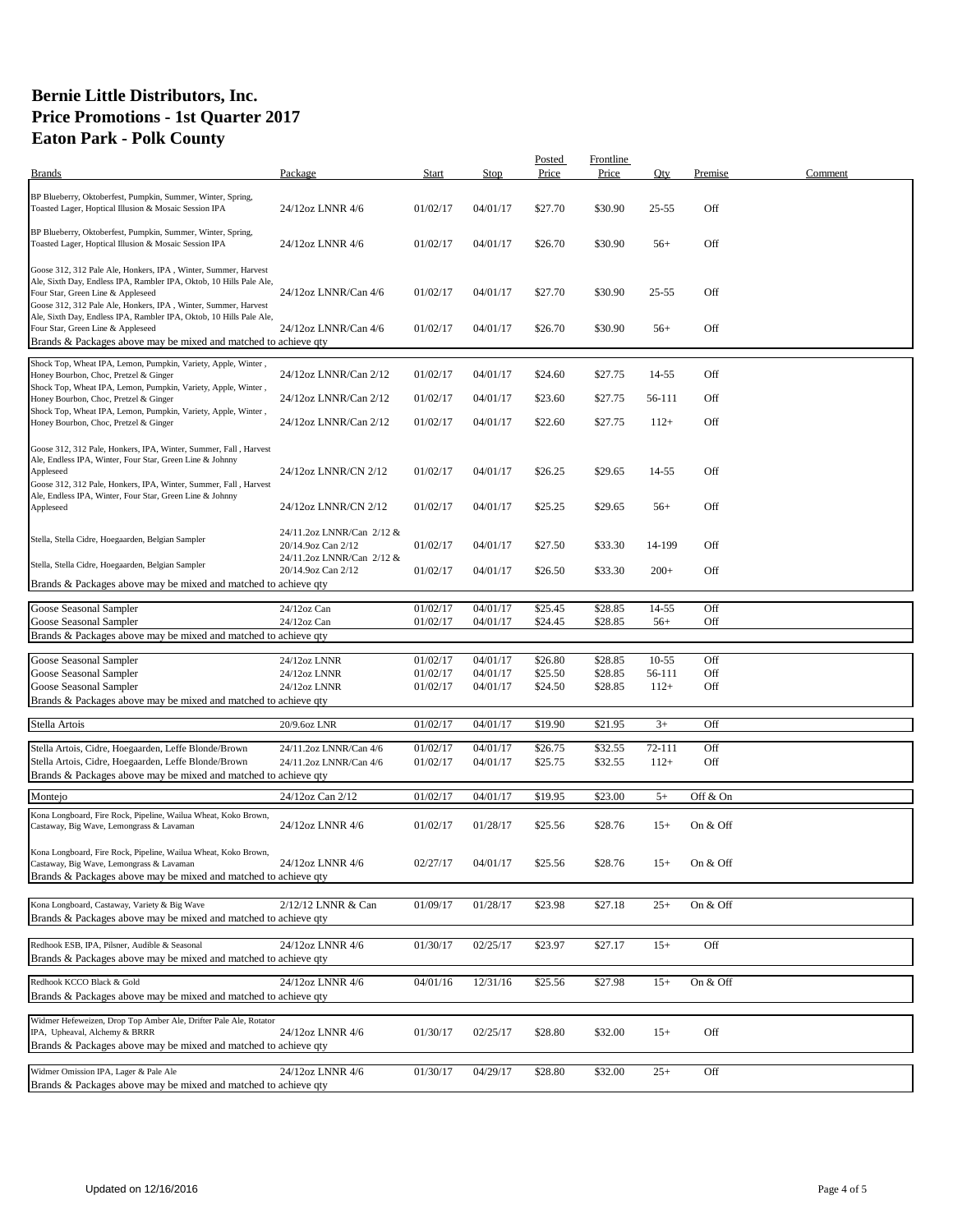| <b>Brands</b>                                                                                                                                                                                                                                                                          | Package                                         | Start                | Stop                 | Posted<br>Price    | Frontline<br>Price | Oty            | Premise    | Comment |
|----------------------------------------------------------------------------------------------------------------------------------------------------------------------------------------------------------------------------------------------------------------------------------------|-------------------------------------------------|----------------------|----------------------|--------------------|--------------------|----------------|------------|---------|
|                                                                                                                                                                                                                                                                                        |                                                 |                      |                      |                    |                    |                |            |         |
| BP Blueberry, Oktoberfest, Pumpkin, Summer, Winter, Spring,<br>Toasted Lager, Hoptical Illusion & Mosaic Session IPA                                                                                                                                                                   | 24/12oz LNNR 4/6                                | 01/02/17             | 04/01/17             | \$27.70            | \$30.90            | $25 - 55$      | Off        |         |
| BP Blueberry, Oktoberfest, Pumpkin, Summer, Winter, Spring,<br>Toasted Lager, Hoptical Illusion & Mosaic Session IPA                                                                                                                                                                   | 24/12oz LNNR 4/6                                | 01/02/17             | 04/01/17             | \$26.70            | \$30.90            | $56+$          | Off        |         |
| Goose 312, 312 Pale Ale, Honkers, IPA, Winter, Summer, Harvest<br>Ale, Sixth Day, Endless IPA, Rambler IPA, Oktob, 10 Hills Pale Ale,<br>Four Star, Green Line & Appleseed<br>Goose 312, 312 Pale Ale, Honkers, IPA, Winter, Summer, Harvest                                           | 24/12oz LNNR/Can 4/6                            | 01/02/17             | 04/01/17             | \$27.70            | \$30.90            | $25 - 55$      | Off        |         |
| Ale, Sixth Day, Endless IPA, Rambler IPA, Oktob, 10 Hills Pale Ale,<br>Four Star, Green Line & Appleseed<br>Brands & Packages above may be mixed and matched to achieve qty                                                                                                            | 24/12oz LNNR/Can 4/6                            | 01/02/17             | 04/01/17             | \$26.70            | \$30.90            | $56+$          | Off        |         |
| Shock Top, Wheat IPA, Lemon, Pumpkin, Variety, Apple, Winter,<br>Honey Bourbon, Choc, Pretzel & Ginger                                                                                                                                                                                 | 24/12oz LNNR/Can 2/12                           | 01/02/17             | 04/01/17             | \$24.60            | \$27.75            | 14-55          | Off        |         |
| Shock Top, Wheat IPA, Lemon, Pumpkin, Variety, Apple, Winter,<br>Honey Bourbon, Choc, Pretzel & Ginger                                                                                                                                                                                 | 24/12oz LNNR/Can 2/12                           | 01/02/17             | 04/01/17             | \$23.60            | \$27.75            | 56-111         | Off        |         |
| Shock Top, Wheat IPA, Lemon, Pumpkin, Variety, Apple, Winter,<br>Honey Bourbon, Choc, Pretzel & Ginger                                                                                                                                                                                 | 24/12oz LNNR/Can 2/12                           | 01/02/17             | 04/01/17             | \$22.60            | \$27.75            | $112+$         | Off        |         |
| Goose 312, 312 Pale, Honkers, IPA, Winter, Summer, Fall, Harvest<br>Ale, Endless IPA, Winter, Four Star, Green Line & Johnny<br>Appleseed<br>Goose 312, 312 Pale, Honkers, IPA, Winter, Summer, Fall, Harvest<br>Ale, Endless IPA, Winter, Four Star, Green Line & Johnny<br>Appleseed | 24/12oz LNNR/CN 2/12<br>24/12oz LNNR/CN 2/12    | 01/02/17<br>01/02/17 | 04/01/17<br>04/01/17 | \$26.25<br>\$25.25 | \$29.65<br>\$29.65 | 14-55<br>$56+$ | Off<br>Off |         |
| Stella, Stella Cidre, Hoegaarden, Belgian Sampler                                                                                                                                                                                                                                      | 24/11.2oz LNNR/Can 2/12 &<br>20/14.9oz Can 2/12 | 01/02/17             | 04/01/17             | \$27.50            | \$33.30            | 14-199         | Off        |         |
| Stella, Stella Cidre, Hoegaarden, Belgian Sampler                                                                                                                                                                                                                                      | 24/11.2oz LNNR/Can 2/12 &<br>20/14.9oz Can 2/12 | 01/02/17             | 04/01/17             | \$26.50            | \$33.30            | $200+$         | Off        |         |
| Brands & Packages above may be mixed and matched to achieve qty                                                                                                                                                                                                                        |                                                 |                      |                      |                    |                    |                |            |         |
| Goose Seasonal Sampler                                                                                                                                                                                                                                                                 | 24/12oz Can                                     | 01/02/17             | 04/01/17             | \$25.45            | \$28.85            | 14-55          | Off        |         |
| Goose Seasonal Sampler                                                                                                                                                                                                                                                                 | 24/12oz Can                                     | 01/02/17             | 04/01/17             | \$24.45            | \$28.85            | $56+$          | Off        |         |
| Brands & Packages above may be mixed and matched to achieve qty                                                                                                                                                                                                                        |                                                 |                      |                      |                    |                    |                |            |         |
| Goose Seasonal Sampler                                                                                                                                                                                                                                                                 | 24/12oz LNNR                                    | 01/02/17             | 04/01/17             | \$26.80            | \$28.85            | $10 - 55$      | Off        |         |
| Goose Seasonal Sampler                                                                                                                                                                                                                                                                 | 24/12oz LNNR                                    | 01/02/17             | 04/01/17             | \$25.50            | \$28.85            | 56-111         | Off        |         |
| Goose Seasonal Sampler                                                                                                                                                                                                                                                                 | 24/12oz LNNR                                    | 01/02/17             | 04/01/17             | \$24.50            | \$28.85            | $112+$         | Off        |         |
| Brands & Packages above may be mixed and matched to achieve qty                                                                                                                                                                                                                        |                                                 |                      |                      |                    |                    |                |            |         |
|                                                                                                                                                                                                                                                                                        |                                                 |                      |                      |                    |                    |                |            |         |
| Stella Artois                                                                                                                                                                                                                                                                          | 20/9.6oz LNR                                    | 01/02/17             | 04/01/17             | \$19.90            | \$21.95            | $3+$           | Off        |         |
| Stella Artois, Cidre, Hoegaarden, Leffe Blonde/Brown                                                                                                                                                                                                                                   | 24/11.2oz LNNR/Can 4/6                          | 01/02/17             | 04/01/17             | \$26.75            | \$32.55            | 72-111         | Off        |         |
| Stella Artois, Cidre, Hoegaarden, Leffe Blonde/Brown                                                                                                                                                                                                                                   | 24/11.2oz LNNR/Can 4/6                          | 01/02/17             | 04/01/17             | \$25.75            | \$32.55            | $112+$         | Off        |         |
| Brands & Packages above may be mixed and matched to achieve qty                                                                                                                                                                                                                        |                                                 |                      |                      |                    |                    |                |            |         |
| Montejo                                                                                                                                                                                                                                                                                | 24/12oz Can 2/12                                | 01/02/17             | 04/01/17             | \$19.95            | \$23.00            | $5+$           | Off & On   |         |
| Kona Longboard, Fire Rock, Pipeline, Wailua Wheat, Koko Brown,<br>Castaway, Big Wave, Lemongrass & Lavaman                                                                                                                                                                             | 24/12oz LNNR 4/6                                | 01/02/17             | 01/28/17             | \$25.56            | \$28.76            | $15+$          | On & Off   |         |
| Kona Longboard, Fire Rock, Pipeline, Wailua Wheat, Koko Brown,<br>Castaway, Big Wave, Lemongrass & Lavaman<br>Brands & Packages above may be mixed and matched to achieve qty                                                                                                          | 24/12oz LNNR 4/6                                | 02/27/17             | 04/01/17             | \$25.56            | \$28.76            | $15+$          | On & Off   |         |
| Kona Longboard, Castaway, Variety & Big Wave                                                                                                                                                                                                                                           | 2/12/12 LNNR & Can                              | 01/09/17             | 01/28/17             | \$23.98            | \$27.18            | $25+$          | On & Off   |         |
| Brands & Packages above may be mixed and matched to achieve qty                                                                                                                                                                                                                        |                                                 |                      |                      |                    |                    |                |            |         |
| Redhook ESB, IPA, Pilsner, Audible & Seasonal<br>Brands & Packages above may be mixed and matched to achieve qty                                                                                                                                                                       | 24/12oz LNNR 4/6                                | 01/30/17             | 02/25/17             | \$23.97            | \$27.17            | $15+$          | Off        |         |
| Redhook KCCO Black & Gold<br>Brands & Packages above may be mixed and matched to achieve qty                                                                                                                                                                                           | 24/12oz LNNR 4/6                                | 04/01/16             | 12/31/16             | \$25.56            | \$27.98            | $15+$          | On & Off   |         |
| Widmer Hefeweizen, Drop Top Amber Ale, Drifter Pale Ale, Rotator<br>IPA, Upheaval, Alchemy & BRRR<br>Brands & Packages above may be mixed and matched to achieve qty                                                                                                                   | 24/12oz LNNR 4/6                                | 01/30/17             | 02/25/17             | \$28.80            | \$32.00            | $15+$          | Off        |         |
| Widmer Omission IPA, Lager & Pale Ale<br>Brands & Packages above may be mixed and matched to achieve qty                                                                                                                                                                               | 24/12oz LNNR 4/6                                | 01/30/17             | 04/29/17             | \$28.80            | \$32.00            | $25+$          | Off        |         |